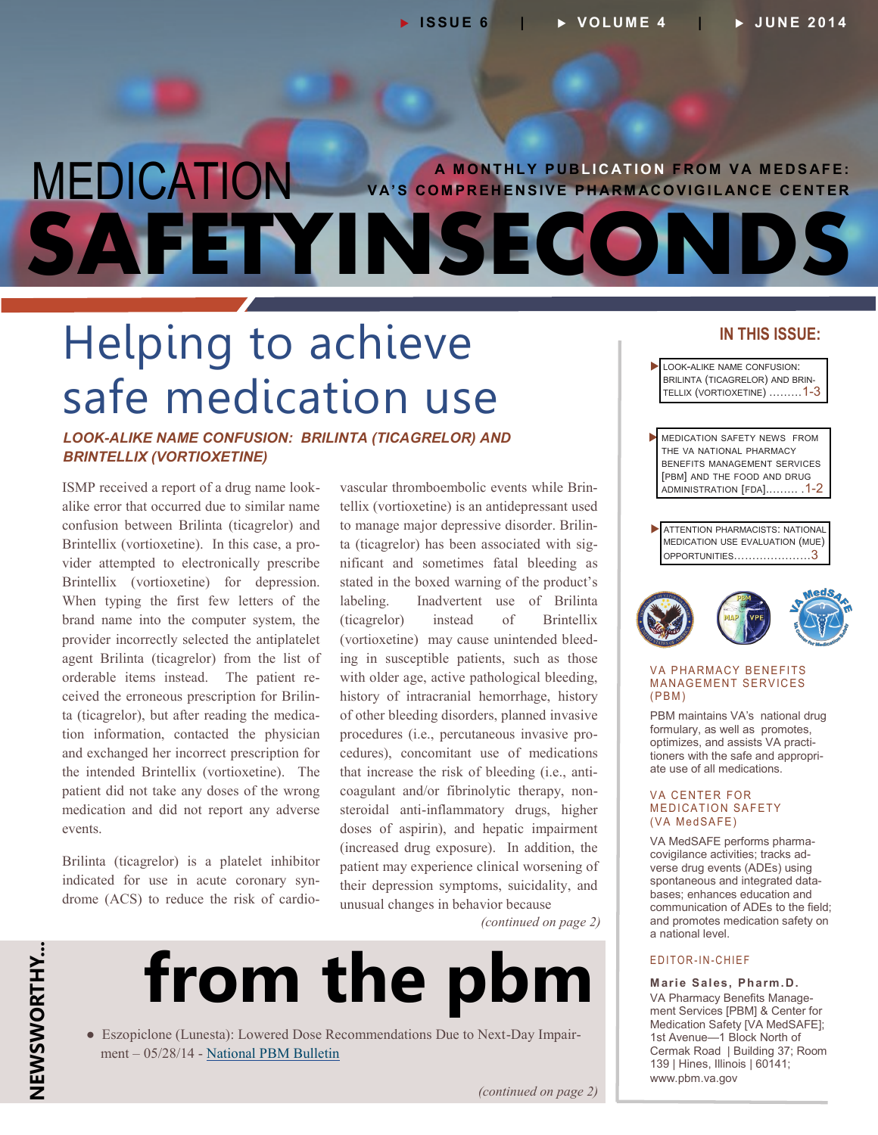## **MEDICATION** VA'S COMPREHENSIVE PHARMACOVIGILANCE CENTER **SAFETYINSECONDS**

## Helping to achieve safe medication use

## *LOOK-ALIKE NAME CONFUSION: BRILINTA (TICAGRELOR) AND BRINTELLIX (VORTIOXETINE)*

ISMP received a report of a drug name lookalike error that occurred due to similar name confusion between Brilinta (ticagrelor) and Brintellix (vortioxetine). In this case, a provider attempted to electronically prescribe Brintellix (vortioxetine) for depression. When typing the first few letters of the brand name into the computer system, the provider incorrectly selected the antiplatelet agent Brilinta (ticagrelor) from the list of orderable items instead. The patient received the erroneous prescription for Brilinta (ticagrelor), but after reading the medication information, contacted the physician and exchanged her incorrect prescription for the intended Brintellix (vortioxetine). The patient did not take any doses of the wrong medication and did not report any adverse events.

Brilinta (ticagrelor) is a platelet inhibitor indicated for use in acute coronary syndrome (ACS) to reduce the risk of cardiovascular thromboembolic events while Brintellix (vortioxetine) is an antidepressant used to manage major depressive disorder. Brilinta (ticagrelor) has been associated with significant and sometimes fatal bleeding as stated in the boxed warning of the product's labeling. Inadvertent use of Brilinta (ticagrelor) instead of Brintellix (vortioxetine) may cause unintended bleeding in susceptible patients, such as those with older age, active pathological bleeding, history of intracranial hemorrhage, history of other bleeding disorders, planned invasive procedures (i.e., percutaneous invasive procedures), concomitant use of medications that increase the risk of bleeding (i.e., anticoagulant and/or fibrinolytic therapy, nonsteroidal anti-inflammatory drugs, higher doses of aspirin), and hepatic impairment (increased drug exposure). In addition, the patient may experience clinical worsening of their depression symptoms, suicidality, and unusual changes in behavior because

*(continued on page 2)*



● Eszopiclone (Lunesta): Lowered Dose Recommendations Due to Next-Day Impairment – 05/28/14 - [National PBM Bulletin](http://www.pbm.va.gov/)

## **IN THIS ISSUE:**

- LOOK-ALIKE NAME CONFUSION: BRILINTA (TICAGRELOR) AND BRIN-TELLIX (VORTIOXETINE) ………1-3
- **MEDICATION SAFETY NEWS FROM** THE VA NATIONAL PHARMACY BENEFITS MANAGEMENT SERVICES [PBM] AND THE FOOD AND DRUG [ADMINISTRATION](#page-1-0) [FDA]..……. .1-2
- **ATTENTION PHARMACISTS: NATIONAL** MEDICATION USE EVALUATION (MUE) OPPORTUNITIES[…………………](#page-2-0)3



#### **VA PHARMACY BENEFITS** MANAGEMENT SERVICES  $(PBM)$

PBM maintains VA's national drug formulary, as well as promotes, optimizes, and assists VA practitioners with the safe and appropriate use of all medications.

#### **VA CENTER FOR MEDICATION SAFETY** (VA MedSAFE)

VA MedSAFE performs pharmacovigilance activities; tracks adverse drug events (ADEs) using spontaneous and integrated databases; enhances education and communication of ADEs to the field; and promotes medication safety on a national level.

### E DITOR-IN-CHIEF

**Marie Sales, Pharm.D.** VA Pharmacy Benefits Management Services [PBM] & Center for Medication Safety [VA MedSAFE]; 1st Avenue—1 Block North of Cermak Road | Building 37; Room 139 | Hines, Illinois | 60141; [www.pbm.va.gov](http://www.pbm.va.gov)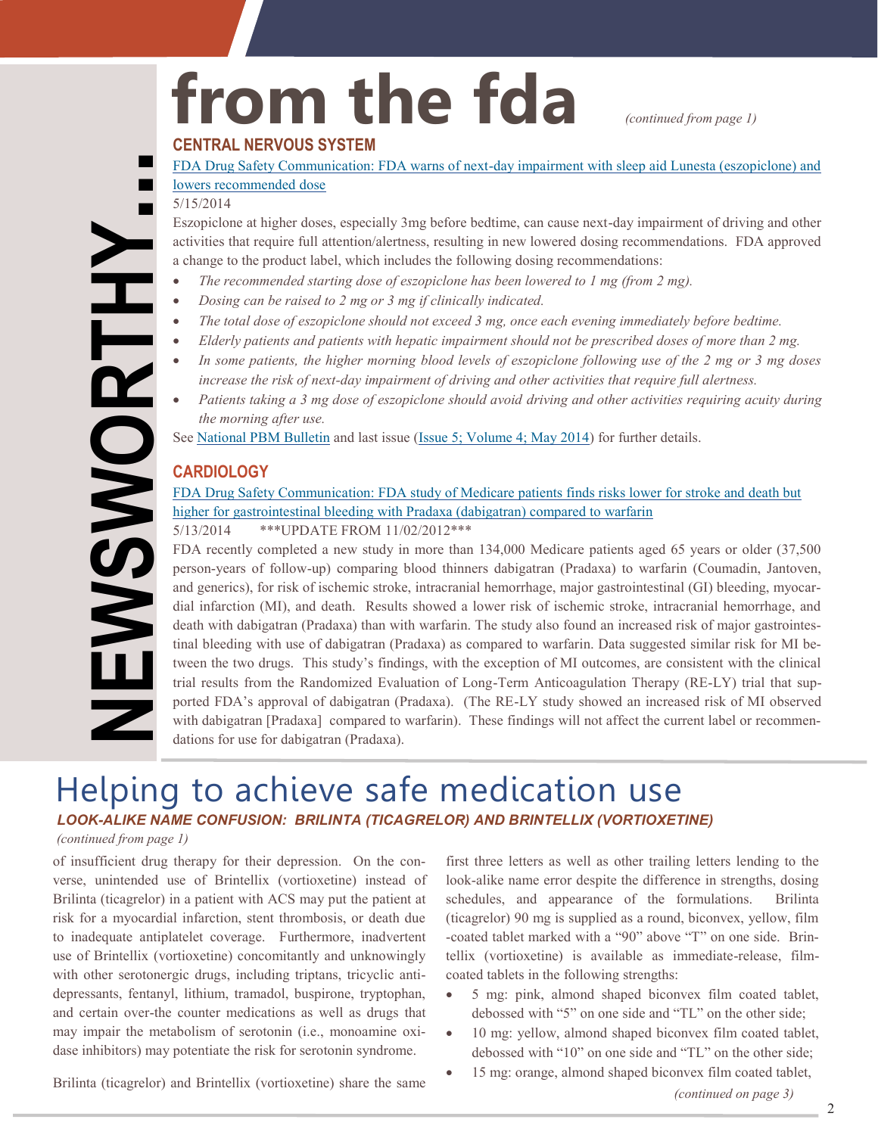# from the fda *(continued from page 1)*

## **CENTRAL NERVOUS SYSTEM**

5/15/2014

Eszopiclone at higher doses, especially 3mg before bedtime, can cause next-day impairment of driving and other activities that require full attention/alertness, resulting in new lowered dosing recommendations. FDA approved a change to the product label, which includes the following dosing recommendations:

- *The recommended starting dose of eszopiclone has been lowered to 1 mg (from 2 mg).*
- *Dosing can be raised to 2 mg or 3 mg if clinically indicated.*
- *The total dose of eszopiclone should not exceed 3 mg, once each evening immediately before bedtime.*
- *Elderly patients and patients with hepatic impairment should not be prescribed doses of more than 2 mg.*
- *In some patients, the higher morning blood levels of eszopiclone following use of the 2 mg or 3 mg doses increase the risk of next-day impairment of driving and other activities that require full alertness.*
- *Patients taking a 3 mg dose of eszopiclone should avoid driving and other activities requiring acuity during the morning after use.*

See [National PBM Bulletin](http://www.pbm.va.gov/) and last issue [\(Issue 5; Volume 4; May 2014\)](http://www.pbm.va.gov/PBM/vacenterformedicationsafety/newsletter/Medication_Safety_in_Seconds_May_2014.pdf) for further details.

## **CARDIOLOGY**

## [FDA Drug Safety Communication: FDA study of Medicare patients finds risks lower for stroke and death but](http://www.fda.gov/Drugs/DrugSafety/ucm396470.htm)  [higher for gastrointestinal bleeding with Pradaxa \(dabigatran\) compared to warfarin](http://www.fda.gov/Drugs/DrugSafety/ucm396470.htm) 5/13/2014 \*\*\*UPDATE FROM 11/02/2012\*\*\*

<span id="page-1-0"></span>**NEWSWORTHY...** FDA recently completed a new study in more than 134,000 Medicare patients aged 65 years or older (37,500 person-years of follow-up) comparing blood thinners dabigatran (Pradaxa) to warfarin (Coumadin, Jantoven, and generics), for risk of ischemic stroke, intracranial hemorrhage, major gastrointestinal (GI) bleeding, myocardial infarction (MI), and death. Results showed a lower risk of ischemic stroke, intracranial hemorrhage, and death with dabigatran (Pradaxa) than with warfarin. The study also found an increased risk of major gastrointestinal bleeding with use of dabigatran (Pradaxa) as compared to warfarin. Data suggested similar risk for MI between the two drugs. This study's findings, with the exception of MI outcomes, are consistent with the clinical trial results from the Randomized Evaluation of Long-Term Anticoagulation Therapy (RE-LY) trial that supported FDA's approval of dabigatran (Pradaxa). (The RE-LY study showed an increased risk of MI observed with dabigatran [Pradaxa] compared to warfarin). These findings will not affect the current label or recommendations for use for dabigatran (Pradaxa).

## Helping to achieve safe medication use *LOOK-ALIKE NAME CONFUSION: BRILINTA (TICAGRELOR) AND BRINTELLIX (VORTIOXETINE)*

## *(continued from page 1)*

**FWSWORTHY** 

of insufficient drug therapy for their depression. On the converse, unintended use of Brintellix (vortioxetine) instead of Brilinta (ticagrelor) in a patient with ACS may put the patient at risk for a myocardial infarction, stent thrombosis, or death due to inadequate antiplatelet coverage. Furthermore, inadvertent use of Brintellix (vortioxetine) concomitantly and unknowingly with other serotonergic drugs, including triptans, tricyclic antidepressants, fentanyl, lithium, tramadol, buspirone, tryptophan, and certain over-the counter medications as well as drugs that may impair the metabolism of serotonin (i.e., monoamine oxidase inhibitors) may potentiate the risk for serotonin syndrome.

first three letters as well as other trailing letters lending to the look-alike name error despite the difference in strengths, dosing schedules, and appearance of the formulations. Brilinta (ticagrelor) 90 mg is supplied as a round, biconvex, yellow, film -coated tablet marked with a "90" above "T" on one side. Brintellix (vortioxetine) is available as immediate-release, filmcoated tablets in the following strengths:

- 5 mg: pink, almond shaped biconvex film coated tablet, debossed with "5" on one side and "TL" on the other side;
- 10 mg: yellow, almond shaped biconvex film coated tablet, debossed with "10" on one side and "TL" on the other side;
- 15 mg: orange, almond shaped biconvex film coated tablet,

*(continued on page 3)*

Brilinta (ticagrelor) and Brintellix (vortioxetine) share the same